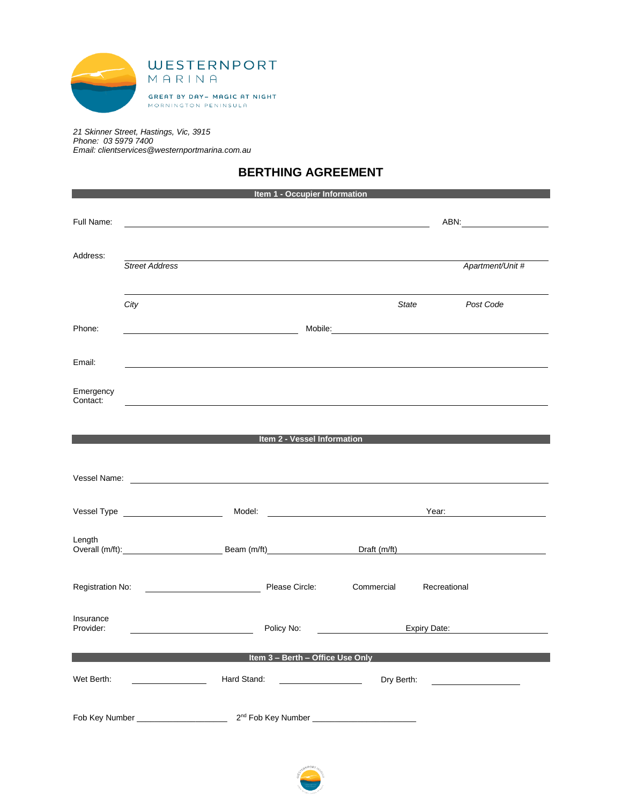

*21 Skinner Street, Hastings, Vic, 3915 Phone: 03 5979 7400 Email: clientservices@westernportmarina.com.au*

# **BERTHING AGREEMENT**

|                        |                                                                                                                                                                                                                                      |                                                                                                                                                                                                                                    | Item 1 - Occupier Information                                                                                        |              |                                                                                                                                                                                                                                |
|------------------------|--------------------------------------------------------------------------------------------------------------------------------------------------------------------------------------------------------------------------------------|------------------------------------------------------------------------------------------------------------------------------------------------------------------------------------------------------------------------------------|----------------------------------------------------------------------------------------------------------------------|--------------|--------------------------------------------------------------------------------------------------------------------------------------------------------------------------------------------------------------------------------|
| Full Name:             |                                                                                                                                                                                                                                      |                                                                                                                                                                                                                                    |                                                                                                                      |              |                                                                                                                                                                                                                                |
|                        |                                                                                                                                                                                                                                      |                                                                                                                                                                                                                                    |                                                                                                                      |              |                                                                                                                                                                                                                                |
| Address:               | <b>Street Address</b>                                                                                                                                                                                                                |                                                                                                                                                                                                                                    |                                                                                                                      |              | Apartment/Unit #                                                                                                                                                                                                               |
|                        | City                                                                                                                                                                                                                                 |                                                                                                                                                                                                                                    |                                                                                                                      | State        | Post Code                                                                                                                                                                                                                      |
| Phone:                 |                                                                                                                                                                                                                                      |                                                                                                                                                                                                                                    |                                                                                                                      |              | Mobile: Mobile: Mobile: Mobile: Mobile: Mobile: Mobile: Mobile: Mobile: Mobile: Mobile: Mobile: Mobile: Mobile: Mobile: Mobile: Mobile: Mobile: Mobile: Mobile: Mobile: Mobile: Mobile: Mobile: Mobile: Mobile: Mobile: Mobile |
| Email:                 | ,我们也不会有什么。""我们的人,我们也不会有什么?""我们的人,我们也不会有什么?""我们的人,我们也不会有什么?""我们的人,我们也不会有什么?""我们的人                                                                                                                                                     |                                                                                                                                                                                                                                    |                                                                                                                      |              |                                                                                                                                                                                                                                |
| Emergency<br>Contact:  |                                                                                                                                                                                                                                      |                                                                                                                                                                                                                                    |                                                                                                                      |              |                                                                                                                                                                                                                                |
|                        |                                                                                                                                                                                                                                      |                                                                                                                                                                                                                                    |                                                                                                                      |              |                                                                                                                                                                                                                                |
|                        |                                                                                                                                                                                                                                      | <b>Example 2 - Vessel Information Contract Contract Contract Contract Contract Contract Contract Contract Contract Contract Contract Contract Contract Contract Contract Contract Contract Contract Contract Contract Contract</b> |                                                                                                                      |              |                                                                                                                                                                                                                                |
|                        | Vessel Name: <u>example and the contract of the contract of the contract of the contract of the contract of the contract of the contract of the contract of the contract of the contract of the contract of the contract of the </u> |                                                                                                                                                                                                                                    |                                                                                                                      |              |                                                                                                                                                                                                                                |
|                        |                                                                                                                                                                                                                                      |                                                                                                                                                                                                                                    |                                                                                                                      |              |                                                                                                                                                                                                                                |
|                        | Vessel Type New York New York 2014                                                                                                                                                                                                   |                                                                                                                                                                                                                                    |                                                                                                                      |              | Year: 2008                                                                                                                                                                                                                     |
| Length                 | Overall (m/ft): Beam (m/ft)                                                                                                                                                                                                          |                                                                                                                                                                                                                                    |                                                                                                                      |              |                                                                                                                                                                                                                                |
|                        | Registration No: 2008 - 2009 Please Circle:                                                                                                                                                                                          |                                                                                                                                                                                                                                    |                                                                                                                      | Commercial   | Recreational                                                                                                                                                                                                                   |
| Insurance<br>Provider: |                                                                                                                                                                                                                                      | Policy No:                                                                                                                                                                                                                         |                                                                                                                      | Expiry Date: |                                                                                                                                                                                                                                |
|                        |                                                                                                                                                                                                                                      |                                                                                                                                                                                                                                    |                                                                                                                      |              |                                                                                                                                                                                                                                |
|                        |                                                                                                                                                                                                                                      |                                                                                                                                                                                                                                    | Item 3 - Berth - Office Use Only                                                                                     |              |                                                                                                                                                                                                                                |
| Wet Berth:             |                                                                                                                                                                                                                                      | Hard Stand:                                                                                                                                                                                                                        | <u> 1989 - Johann Barbara, politik eta politik eta politik eta politik eta politik eta politik eta politik eta p</u> | Dry Berth:   |                                                                                                                                                                                                                                |
|                        | Fob Key Number _____________________                                                                                                                                                                                                 |                                                                                                                                                                                                                                    | 2 <sup>nd</sup> Fob Key Number __________________________                                                            |              |                                                                                                                                                                                                                                |

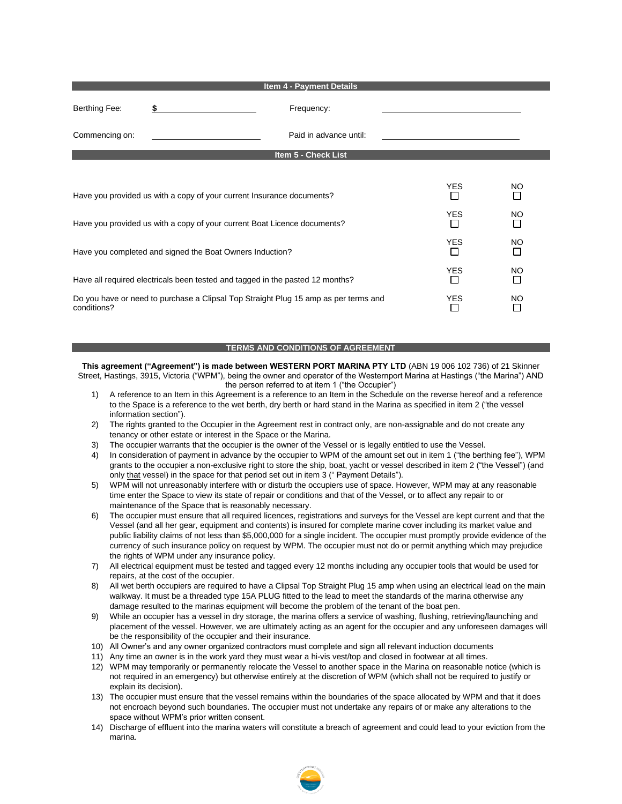|                                                                          | <b>Item 4 - Payment Details</b>                                                     |                     |          |
|--------------------------------------------------------------------------|-------------------------------------------------------------------------------------|---------------------|----------|
| Berthing Fee:                                                            | Frequency:<br>\$                                                                    |                     |          |
| Commencing on:                                                           | Paid in advance until:                                                              |                     |          |
|                                                                          | Item 5 - Check List                                                                 |                     |          |
|                                                                          |                                                                                     |                     |          |
|                                                                          | Have you provided us with a copy of your current Insurance documents?               | <b>YES</b>          | NO.<br>П |
| Have you provided us with a copy of your current Boat Licence documents? | <b>YES</b><br>$\Box$                                                                | <b>NO</b><br>$\Box$ |          |
| Have you completed and signed the Boat Owners Induction?                 | <b>YES</b><br>$\blacksquare$                                                        | <b>NO</b><br>□      |          |
|                                                                          | Have all required electricals been tested and tagged in the pasted 12 months?       | <b>YES</b>          | NO.<br>П |
| conditions?                                                              | Do you have or need to purchase a Clipsal Top Straight Plug 15 amp as per terms and | <b>YES</b>          | NO.      |

#### **TERMS AND CONDITIONS OF AGREEMENT**

**This agreement ("Agreement") is made between WESTERN PORT MARINA PTY LTD** (ABN 19 006 102 736) of 21 Skinner Street, Hastings, 3915, Victoria ("WPM"), being the owner and operator of the Westernport Marina at Hastings ("the Marina") AND the person referred to at item 1 ("the Occupier")

- 1) A reference to an Item in this Agreement is a reference to an Item in the Schedule on the reverse hereof and a reference to the Space is a reference to the wet berth, dry berth or hard stand in the Marina as specified in item 2 ("the vessel information section").
- 2) The rights granted to the Occupier in the Agreement rest in contract only, are non-assignable and do not create any tenancy or other estate or interest in the Space or the Marina.
- 3) The occupier warrants that the occupier is the owner of the Vessel or is legally entitled to use the Vessel.
- 4) In consideration of payment in advance by the occupier to WPM of the amount set out in item 1 ("the berthing fee"), WPM grants to the occupier a non-exclusive right to store the ship, boat, yacht or vessel described in item 2 ("the Vessel") (and only that vessel) in the space for that period set out in item 3 (" Payment Details").
- 5) WPM will not unreasonably interfere with or disturb the occupiers use of space. However, WPM may at any reasonable time enter the Space to view its state of repair or conditions and that of the Vessel, or to affect any repair to or maintenance of the Space that is reasonably necessary.
- 6) The occupier must ensure that all required licences, registrations and surveys for the Vessel are kept current and that the Vessel (and all her gear, equipment and contents) is insured for complete marine cover including its market value and public liability claims of not less than \$5,000,000 for a single incident. The occupier must promptly provide evidence of the currency of such insurance policy on request by WPM. The occupier must not do or permit anything which may prejudice the rights of WPM under any insurance policy.
- 7) All electrical equipment must be tested and tagged every 12 months including any occupier tools that would be used for repairs, at the cost of the occupier.
- 8) All wet berth occupiers are required to have a Clipsal Top Straight Plug 15 amp when using an electrical lead on the main walkway. It must be a threaded type 15A PLUG fitted to the lead to meet the standards of the marina otherwise any damage resulted to the marinas equipment will become the problem of the tenant of the boat pen.
- 9) While an occupier has a vessel in dry storage, the marina offers a service of washing, flushing, retrieving/launching and placement of the vessel. However, we are ultimately acting as an agent for the occupier and any unforeseen damages will be the responsibility of the occupier and their insurance.
- 10) All Owner's and any owner organized contractors must complete and sign all relevant induction documents
- 11) Any time an owner is in the work yard they must wear a hi-vis vest/top and closed in footwear at all times.
- 12) WPM may temporarily or permanently relocate the Vessel to another space in the Marina on reasonable notice (which is not required in an emergency) but otherwise entirely at the discretion of WPM (which shall not be required to justify or explain its decision).
- 13) The occupier must ensure that the vessel remains within the boundaries of the space allocated by WPM and that it does not encroach beyond such boundaries. The occupier must not undertake any repairs of or make any alterations to the space without WPM's prior written consent.
- 14) Discharge of effluent into the marina waters will constitute a breach of agreement and could lead to your eviction from the marina.

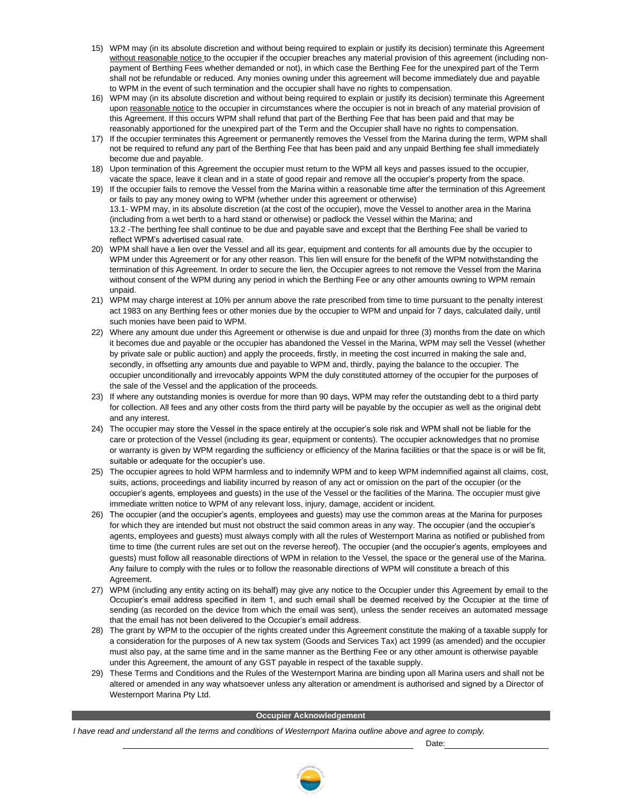- 15) WPM may (in its absolute discretion and without being required to explain or justify its decision) terminate this Agreement without reasonable notice to the occupier if the occupier breaches any material provision of this agreement (including nonpayment of Berthing Fees whether demanded or not), in which case the Berthing Fee for the unexpired part of the Term shall not be refundable or reduced. Any monies owning under this agreement will become immediately due and payable to WPM in the event of such termination and the occupier shall have no rights to compensation.
- 16) WPM may (in its absolute discretion and without being required to explain or justify its decision) terminate this Agreement upon reasonable notice to the occupier in circumstances where the occupier is not in breach of any material provision of this Agreement. If this occurs WPM shall refund that part of the Berthing Fee that has been paid and that may be reasonably apportioned for the unexpired part of the Term and the Occupier shall have no rights to compensation.
- 17) If the occupier terminates this Agreement or permanently removes the Vessel from the Marina during the term, WPM shall not be required to refund any part of the Berthing Fee that has been paid and any unpaid Berthing fee shall immediately become due and payable.
- 18) Upon termination of this Agreement the occupier must return to the WPM all keys and passes issued to the occupier, vacate the space, leave it clean and in a state of good repair and remove all the occupier's property from the space.
- 19) If the occupier fails to remove the Vessel from the Marina within a reasonable time after the termination of this Agreement or fails to pay any money owing to WPM (whether under this agreement or otherwise) 13.1- WPM may, in its absolute discretion (at the cost of the occupier), move the Vessel to another area in the Marina (including from a wet berth to a hard stand or otherwise) or padlock the Vessel within the Marina; and 13.2 -The berthing fee shall continue to be due and payable save and except that the Berthing Fee shall be varied to reflect WPM's advertised casual rate.
- 20) WPM shall have a lien over the Vessel and all its gear, equipment and contents for all amounts due by the occupier to WPM under this Agreement or for any other reason. This lien will ensure for the benefit of the WPM notwithstanding the termination of this Agreement. In order to secure the lien, the Occupier agrees to not remove the Vessel from the Marina without consent of the WPM during any period in which the Berthing Fee or any other amounts owning to WPM remain unpaid.
- 21) WPM may charge interest at 10% per annum above the rate prescribed from time to time pursuant to the penalty interest act 1983 on any Berthing fees or other monies due by the occupier to WPM and unpaid for 7 days, calculated daily, until such monies have been paid to WPM.
- 22) Where any amount due under this Agreement or otherwise is due and unpaid for three (3) months from the date on which it becomes due and payable or the occupier has abandoned the Vessel in the Marina, WPM may sell the Vessel (whether by private sale or public auction) and apply the proceeds, firstly, in meeting the cost incurred in making the sale and, secondly, in offsetting any amounts due and payable to WPM and, thirdly, paying the balance to the occupier. The occupier unconditionally and irrevocably appoints WPM the duly constituted attorney of the occupier for the purposes of the sale of the Vessel and the application of the proceeds.
- 23) If where any outstanding monies is overdue for more than 90 days, WPM may refer the outstanding debt to a third party for collection. All fees and any other costs from the third party will be payable by the occupier as well as the original debt and any interest.
- 24) The occupier may store the Vessel in the space entirely at the occupier's sole risk and WPM shall not be liable for the care or protection of the Vessel (including its gear, equipment or contents). The occupier acknowledges that no promise or warranty is given by WPM regarding the sufficiency or efficiency of the Marina facilities or that the space is or will be fit, suitable or adequate for the occupier's use.
- 25) The occupier agrees to hold WPM harmless and to indemnify WPM and to keep WPM indemnified against all claims, cost, suits, actions, proceedings and liability incurred by reason of any act or omission on the part of the occupier (or the occupier's agents, employees and guests) in the use of the Vessel or the facilities of the Marina. The occupier must give immediate written notice to WPM of any relevant loss, injury, damage, accident or incident.
- 26) The occupier (and the occupier's agents, employees and guests) may use the common areas at the Marina for purposes for which they are intended but must not obstruct the said common areas in any way. The occupier (and the occupier's agents, employees and guests) must always comply with all the rules of Westernport Marina as notified or published from time to time (the current rules are set out on the reverse hereof). The occupier (and the occupier's agents, employees and guests) must follow all reasonable directions of WPM in relation to the Vessel, the space or the general use of the Marina. Any failure to comply with the rules or to follow the reasonable directions of WPM will constitute a breach of this Agreement.
- 27) WPM (including any entity acting on its behalf) may give any notice to the Occupier under this Agreement by email to the Occupier's email address specified in item 1, and such email shall be deemed received by the Occupier at the time of sending (as recorded on the device from which the email was sent), unless the sender receives an automated message that the email has not been delivered to the Occupier's email address.
- 28) The grant by WPM to the occupier of the rights created under this Agreement constitute the making of a taxable supply for a consideration for the purposes of A new tax system (Goods and Services Tax) act 1999 (as amended) and the occupier must also pay, at the same time and in the same manner as the Berthing Fee or any other amount is otherwise payable under this Agreement, the amount of any GST payable in respect of the taxable supply.
- 29) These Terms and Conditions and the Rules of the Westernport Marina are binding upon all Marina users and shall not be altered or amended in any way whatsoever unless any alteration or amendment is authorised and signed by a Director of Westernport Marina Pty Ltd.

#### **Occupier Acknowledgement**

*I have read and understand all the terms and conditions of Westernport Marina outline above and agree to comply.*

Date:

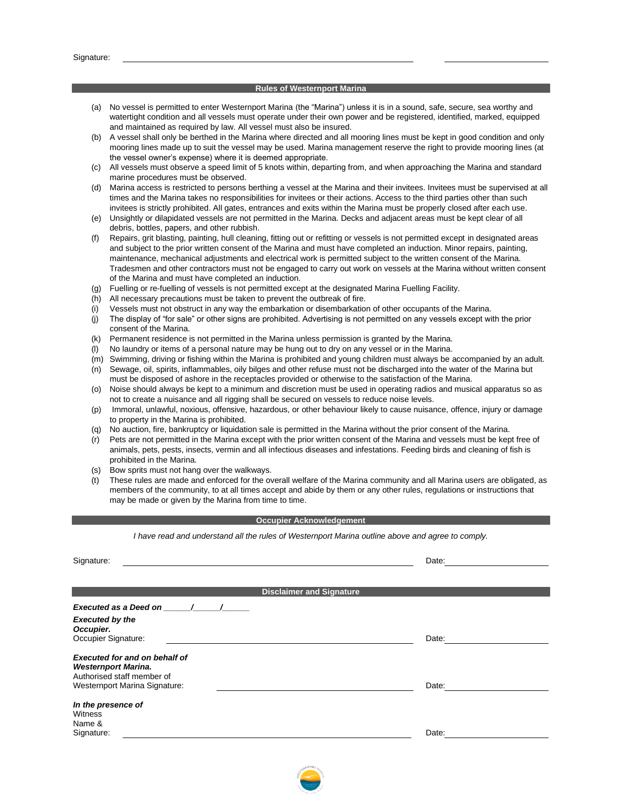#### **Rules of Westernport Marina**

- (a) No vessel is permitted to enter Westernport Marina (the "Marina") unless it is in a sound, safe, secure, sea worthy and watertight condition and all vessels must operate under their own power and be registered, identified, marked, equipped and maintained as required by law. All vessel must also be insured.
- (b) A vessel shall only be berthed in the Marina where directed and all mooring lines must be kept in good condition and only mooring lines made up to suit the vessel may be used. Marina management reserve the right to provide mooring lines (at the vessel owner's expense) where it is deemed appropriate.
- (c) All vessels must observe a speed limit of 5 knots within, departing from, and when approaching the Marina and standard marine procedures must be observed.
- (d) Marina access is restricted to persons berthing a vessel at the Marina and their invitees. Invitees must be supervised at all times and the Marina takes no responsibilities for invitees or their actions. Access to the third parties other than such invitees is strictly prohibited. All gates, entrances and exits within the Marina must be properly closed after each use.
- (e) Unsightly or dilapidated vessels are not permitted in the Marina. Decks and adjacent areas must be kept clear of all debris, bottles, papers, and other rubbish.
- (f) Repairs, grit blasting, painting, hull cleaning, fitting out or refitting or vessels is not permitted except in designated areas and subject to the prior written consent of the Marina and must have completed an induction. Minor repairs, painting, maintenance, mechanical adjustments and electrical work is permitted subject to the written consent of the Marina. Tradesmen and other contractors must not be engaged to carry out work on vessels at the Marina without written consent of the Marina and must have completed an induction.
- (g) Fuelling or re-fuelling of vessels is not permitted except at the designated Marina Fuelling Facility.
- (h) All necessary precautions must be taken to prevent the outbreak of fire.
- (i) Vessels must not obstruct in any way the embarkation or disembarkation of other occupants of the Marina.
- (j) The display of "for sale" or other signs are prohibited. Advertising is not permitted on any vessels except with the prior consent of the Marina.
- (k) Permanent residence is not permitted in the Marina unless permission is granted by the Marina.
- (l) No laundry or items of a personal nature may be hung out to dry on any vessel or in the Marina.
- (m) Swimming, driving or fishing within the Marina is prohibited and young children must always be accompanied by an adult.
- (n) Sewage, oil, spirits, inflammables, oily bilges and other refuse must not be discharged into the water of the Marina but must be disposed of ashore in the receptacles provided or otherwise to the satisfaction of the Marina.
- (o) Noise should always be kept to a minimum and discretion must be used in operating radios and musical apparatus so as not to create a nuisance and all rigging shall be secured on vessels to reduce noise levels.
- (p) Immoral, unlawful, noxious, offensive, hazardous, or other behaviour likely to cause nuisance, offence, injury or damage to property in the Marina is prohibited.
- (q) No auction, fire, bankruptcy or liquidation sale is permitted in the Marina without the prior consent of the Marina.
- (r) Pets are not permitted in the Marina except with the prior written consent of the Marina and vessels must be kept free of animals, pets, pests, insects, vermin and all infectious diseases and infestations. Feeding birds and cleaning of fish is prohibited in the Marina.
- (s) Bow sprits must not hang over the walkways.
- (t) These rules are made and enforced for the overall welfare of the Marina community and all Marina users are obligated, as members of the community, to at all times accept and abide by them or any other rules, regulations or instructions that may be made or given by the Marina from time to time.

#### **Occupier Acknowledgement**

*I have read and understand all the rules of Westernport Marina outline above and agree to comply.*

| Signature:                                                                                                                        | Date: |
|-----------------------------------------------------------------------------------------------------------------------------------|-------|
|                                                                                                                                   |       |
| <b>Disclaimer and Signature</b>                                                                                                   |       |
| Executed as a Deed on /<br><b>Executed by the</b><br>Occupier.<br>Occupier Signature:                                             | Date: |
| <b>Executed for and on behalf of</b><br><b>Westernport Marina.</b><br>Authorised staff member of<br>Westernport Marina Signature: | Date: |
| In the presence of<br>Witness<br>Name &<br>Signature:                                                                             | Date: |

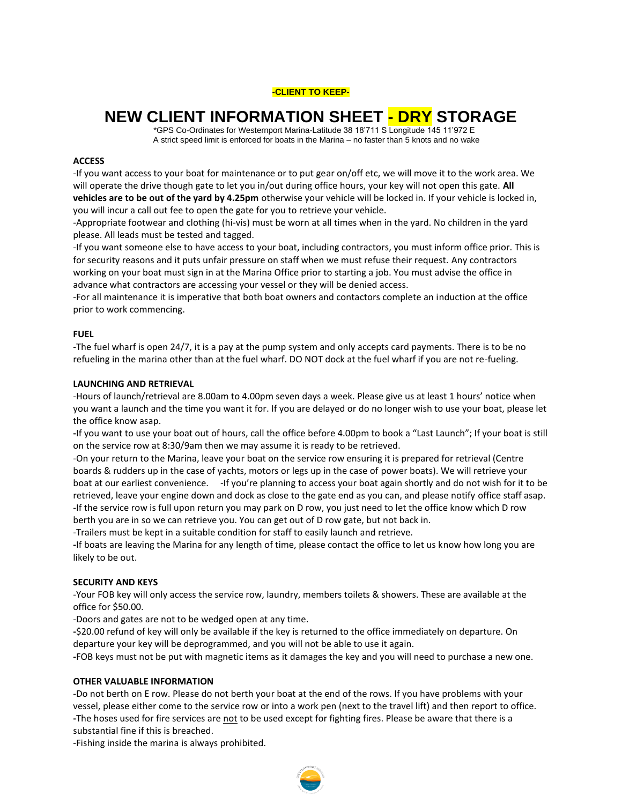### **-CLIENT TO KEEP-**

# **NEW CLIENT INFORMATION SHEET - DRY STORAGE**

 \*GPS Co-Ordinates for Westernport Marina-Latitude 38 18'711 S Longitude 145 11'972 E A strict speed limit is enforced for boats in the Marina – no faster than 5 knots and no wake

# **ACCESS**

-If you want access to your boat for maintenance or to put gear on/off etc, we will move it to the work area. We will operate the drive though gate to let you in/out during office hours, your key will not open this gate. **All vehicles are to be out of the yard by 4.25pm** otherwise your vehicle will be locked in. If your vehicle is locked in, you will incur a call out fee to open the gate for you to retrieve your vehicle.

-Appropriate footwear and clothing (hi-vis) must be worn at all times when in the yard. No children in the yard please. All leads must be tested and tagged.

-If you want someone else to have access to your boat, including contractors, you must inform office prior. This is for security reasons and it puts unfair pressure on staff when we must refuse their request. Any contractors working on your boat must sign in at the Marina Office prior to starting a job. You must advise the office in advance what contractors are accessing your vessel or they will be denied access.

-For all maintenance it is imperative that both boat owners and contactors complete an induction at the office prior to work commencing.

#### **FUEL**

-The fuel wharf is open 24/7, it is a pay at the pump system and only accepts card payments. There is to be no refueling in the marina other than at the fuel wharf. DO NOT dock at the fuel wharf if you are not re-fueling.

#### **LAUNCHING AND RETRIEVAL**

-Hours of launch/retrieval are 8.00am to 4.00pm seven days a week. Please give us at least 1 hours' notice when you want a launch and the time you want it for. If you are delayed or do no longer wish to use your boat, please let the office know asap.

**-**If you want to use your boat out of hours, call the office before 4.00pm to book a "Last Launch"; If your boat is still on the service row at 8:30/9am then we may assume it is ready to be retrieved.

-On your return to the Marina, leave your boat on the service row ensuring it is prepared for retrieval (Centre boards & rudders up in the case of yachts, motors or legs up in the case of power boats). We will retrieve your boat at our earliest convenience. - If you're planning to access your boat again shortly and do not wish for it to be retrieved, leave your engine down and dock as close to the gate end as you can, and please notify office staff asap. -If the service row is full upon return you may park on D row, you just need to let the office know which D row berth you are in so we can retrieve you. You can get out of D row gate, but not back in.

-Trailers must be kept in a suitable condition for staff to easily launch and retrieve.

**-**If boats are leaving the Marina for any length of time, please contact the office to let us know how long you are likely to be out.

#### **SECURITY AND KEYS**

-Your FOB key will only access the service row, laundry, members toilets & showers. These are available at the office for \$50.00.

-Doors and gates are not to be wedged open at any time.

**-**\$20.00 refund of key will only be available if the key is returned to the office immediately on departure. On departure your key will be deprogrammed, and you will not be able to use it again.

**-**FOB keys must not be put with magnetic items as it damages the key and you will need to purchase a new one.

#### **OTHER VALUABLE INFORMATION**

-Do not berth on E row. Please do not berth your boat at the end of the rows. If you have problems with your vessel, please either come to the service row or into a work pen (next to the travel lift) and then report to office. **-**The hoses used for fire services are not to be used except for fighting fires. Please be aware that there is a substantial fine if this is breached.

-Fishing inside the marina is always prohibited.